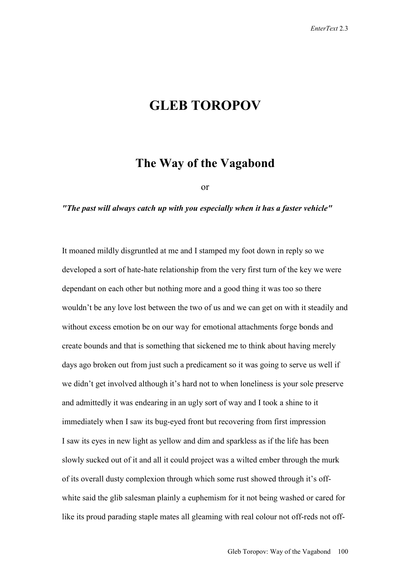## **GLEB TOROPOV**

## **The Way of the Vagabond**

or

## *"The past will always catch up with you especially when it has a faster vehicle"*

It moaned mildly disgruntled at me and I stamped my foot down in reply so we developed a sort of hate-hate relationship from the very first turn of the key we were dependant on each other but nothing more and a good thing it was too so there wouldn't be any love lost between the two of us and we can get on with it steadily and without excess emotion be on our way for emotional attachments forge bonds and create bounds and that is something that sickened me to think about having merely days ago broken out from just such a predicament so it was going to serve us well if we didn't get involved although it's hard not to when loneliness is your sole preserve and admittedly it was endearing in an ugly sort of way and I took a shine to it immediately when I saw its bug-eyed front but recovering from first impression I saw its eyes in new light as yellow and dim and sparkless as if the life has been slowly sucked out of it and all it could project was a wilted ember through the murk of its overall dusty complexion through which some rust showed through it's offwhite said the glib salesman plainly a euphemism for it not being washed or cared for like its proud parading staple mates all gleaming with real colour not off-reds not off-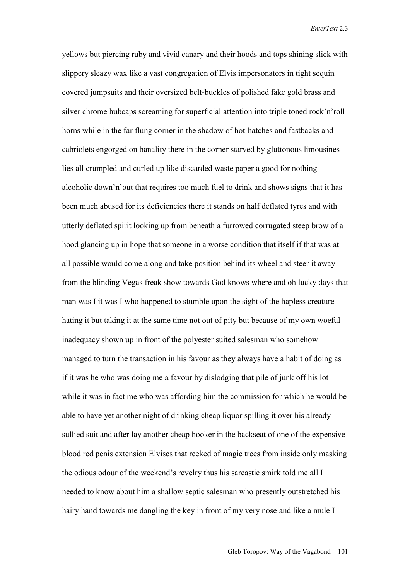yellows but piercing ruby and vivid canary and their hoods and tops shining slick with slippery sleazy wax like a vast congregation of Elvis impersonators in tight sequin covered jumpsuits and their oversized belt-buckles of polished fake gold brass and silver chrome hubcaps screaming for superficial attention into triple toned rock'n'roll horns while in the far flung corner in the shadow of hot-hatches and fastbacks and cabriolets engorged on banality there in the corner starved by gluttonous limousines lies all crumpled and curled up like discarded waste paper a good for nothing alcoholic down'n'out that requires too much fuel to drink and shows signs that it has been much abused for its deficiencies there it stands on half deflated tyres and with utterly deflated spirit looking up from beneath a furrowed corrugated steep brow of a hood glancing up in hope that someone in a worse condition that itself if that was at all possible would come along and take position behind its wheel and steer it away from the blinding Vegas freak show towards God knows where and oh lucky days that man was I it was I who happened to stumble upon the sight of the hapless creature hating it but taking it at the same time not out of pity but because of my own woeful inadequacy shown up in front of the polyester suited salesman who somehow managed to turn the transaction in his favour as they always have a habit of doing as if it was he who was doing me a favour by dislodging that pile of junk off his lot while it was in fact me who was affording him the commission for which he would be able to have yet another night of drinking cheap liquor spilling it over his already sullied suit and after lay another cheap hooker in the backseat of one of the expensive blood red penis extension Elvises that reeked of magic trees from inside only masking the odious odour of the weekend's revelry thus his sarcastic smirk told me all I needed to know about him a shallow septic salesman who presently outstretched his hairy hand towards me dangling the key in front of my very nose and like a mule I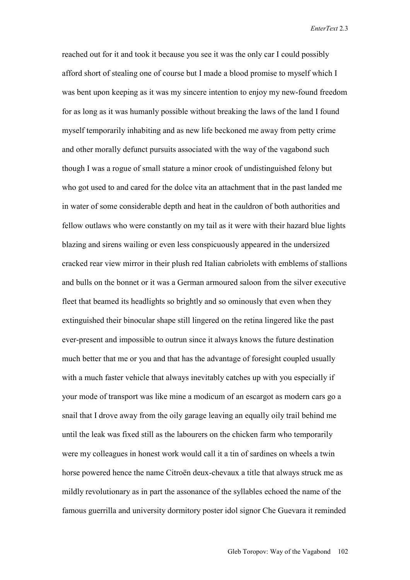reached out for it and took it because you see it was the only car I could possibly afford short of stealing one of course but I made a blood promise to myself which I was bent upon keeping as it was my sincere intention to enjoy my new-found freedom for as long as it was humanly possible without breaking the laws of the land I found myself temporarily inhabiting and as new life beckoned me away from petty crime and other morally defunct pursuits associated with the way of the vagabond such though I was a rogue of small stature a minor crook of undistinguished felony but who got used to and cared for the dolce vita an attachment that in the past landed me in water of some considerable depth and heat in the cauldron of both authorities and fellow outlaws who were constantly on my tail as it were with their hazard blue lights blazing and sirens wailing or even less conspicuously appeared in the undersized cracked rear view mirror in their plush red Italian cabriolets with emblems of stallions and bulls on the bonnet or it was a German armoured saloon from the silver executive fleet that beamed its headlights so brightly and so ominously that even when they extinguished their binocular shape still lingered on the retina lingered like the past ever-present and impossible to outrun since it always knows the future destination much better that me or you and that has the advantage of foresight coupled usually with a much faster vehicle that always inevitably catches up with you especially if your mode of transport was like mine a modicum of an escargot as modern cars go a snail that I drove away from the oily garage leaving an equally oily trail behind me until the leak was fixed still as the labourers on the chicken farm who temporarily were my colleagues in honest work would call it a tin of sardines on wheels a twin horse powered hence the name Citroën deux-chevaux a title that always struck me as mildly revolutionary as in part the assonance of the syllables echoed the name of the famous guerrilla and university dormitory poster idol signor Che Guevara it reminded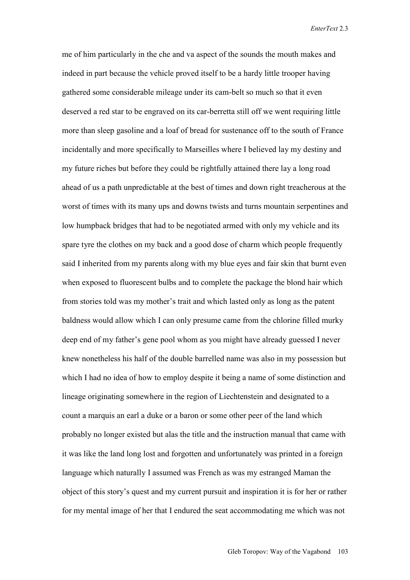me of him particularly in the che and va aspect of the sounds the mouth makes and indeed in part because the vehicle proved itself to be a hardy little trooper having gathered some considerable mileage under its cam-belt so much so that it even deserved a red star to be engraved on its car-berretta still off we went requiring little more than sleep gasoline and a loaf of bread for sustenance off to the south of France incidentally and more specifically to Marseilles where I believed lay my destiny and my future riches but before they could be rightfully attained there lay a long road ahead of us a path unpredictable at the best of times and down right treacherous at the worst of times with its many ups and downs twists and turns mountain serpentines and low humpback bridges that had to be negotiated armed with only my vehicle and its spare tyre the clothes on my back and a good dose of charm which people frequently said I inherited from my parents along with my blue eyes and fair skin that burnt even when exposed to fluorescent bulbs and to complete the package the blond hair which from stories told was my mother's trait and which lasted only as long as the patent baldness would allow which I can only presume came from the chlorine filled murky deep end of my father's gene pool whom as you might have already guessed I never knew nonetheless his half of the double barrelled name was also in my possession but which I had no idea of how to employ despite it being a name of some distinction and lineage originating somewhere in the region of Liechtenstein and designated to a count a marquis an earl a duke or a baron or some other peer of the land which probably no longer existed but alas the title and the instruction manual that came with it was like the land long lost and forgotten and unfortunately was printed in a foreign language which naturally I assumed was French as was my estranged Maman the object of this story's quest and my current pursuit and inspiration it is for her or rather for my mental image of her that I endured the seat accommodating me which was not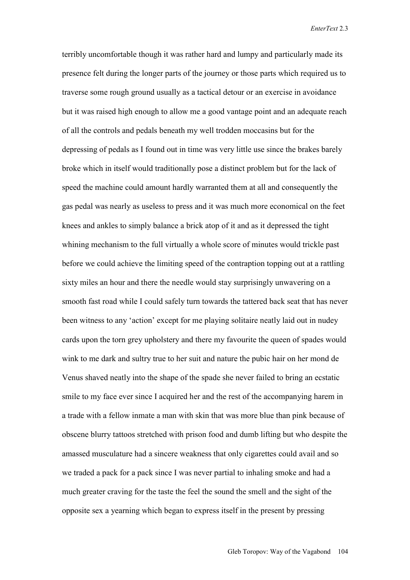terribly uncomfortable though it was rather hard and lumpy and particularly made its presence felt during the longer parts of the journey or those parts which required us to traverse some rough ground usually as a tactical detour or an exercise in avoidance but it was raised high enough to allow me a good vantage point and an adequate reach of all the controls and pedals beneath my well trodden moccasins but for the depressing of pedals as I found out in time was very little use since the brakes barely broke which in itself would traditionally pose a distinct problem but for the lack of speed the machine could amount hardly warranted them at all and consequently the gas pedal was nearly as useless to press and it was much more economical on the feet knees and ankles to simply balance a brick atop of it and as it depressed the tight whining mechanism to the full virtually a whole score of minutes would trickle past before we could achieve the limiting speed of the contraption topping out at a rattling sixty miles an hour and there the needle would stay surprisingly unwavering on a smooth fast road while I could safely turn towards the tattered back seat that has never been witness to any 'action' except for me playing solitaire neatly laid out in nudey cards upon the torn grey upholstery and there my favourite the queen of spades would wink to me dark and sultry true to her suit and nature the pubic hair on her mond de Venus shaved neatly into the shape of the spade she never failed to bring an ecstatic smile to my face ever since I acquired her and the rest of the accompanying harem in a trade with a fellow inmate a man with skin that was more blue than pink because of obscene blurry tattoos stretched with prison food and dumb lifting but who despite the amassed musculature had a sincere weakness that only cigarettes could avail and so we traded a pack for a pack since I was never partial to inhaling smoke and had a much greater craving for the taste the feel the sound the smell and the sight of the opposite sex a yearning which began to express itself in the present by pressing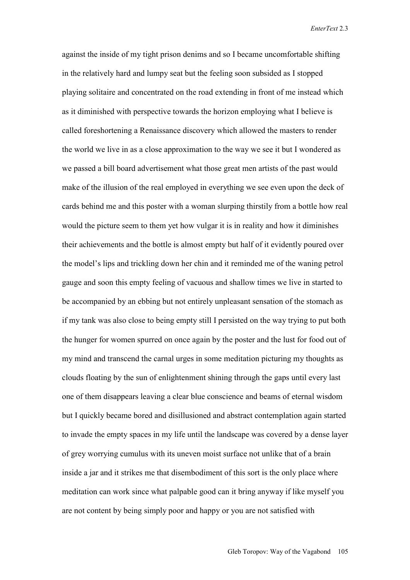against the inside of my tight prison denims and so I became uncomfortable shifting in the relatively hard and lumpy seat but the feeling soon subsided as I stopped playing solitaire and concentrated on the road extending in front of me instead which as it diminished with perspective towards the horizon employing what I believe is called foreshortening a Renaissance discovery which allowed the masters to render the world we live in as a close approximation to the way we see it but I wondered as we passed a bill board advertisement what those great men artists of the past would make of the illusion of the real employed in everything we see even upon the deck of cards behind me and this poster with a woman slurping thirstily from a bottle how real would the picture seem to them yet how vulgar it is in reality and how it diminishes their achievements and the bottle is almost empty but half of it evidently poured over the model's lips and trickling down her chin and it reminded me of the waning petrol gauge and soon this empty feeling of vacuous and shallow times we live in started to be accompanied by an ebbing but not entirely unpleasant sensation of the stomach as if my tank was also close to being empty still I persisted on the way trying to put both the hunger for women spurred on once again by the poster and the lust for food out of my mind and transcend the carnal urges in some meditation picturing my thoughts as clouds floating by the sun of enlightenment shining through the gaps until every last one of them disappears leaving a clear blue conscience and beams of eternal wisdom but I quickly became bored and disillusioned and abstract contemplation again started to invade the empty spaces in my life until the landscape was covered by a dense layer of grey worrying cumulus with its uneven moist surface not unlike that of a brain inside a jar and it strikes me that disembodiment of this sort is the only place where meditation can work since what palpable good can it bring anyway if like myself you are not content by being simply poor and happy or you are not satisfied with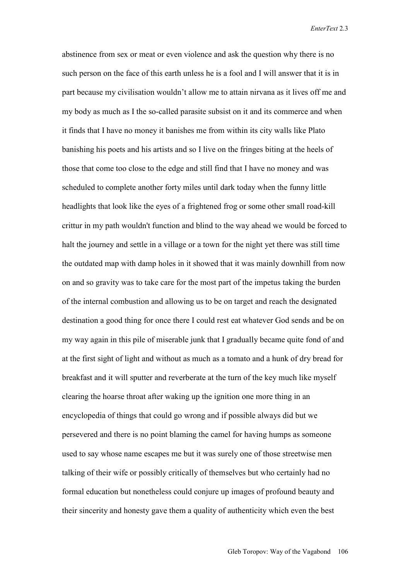abstinence from sex or meat or even violence and ask the question why there is no such person on the face of this earth unless he is a fool and I will answer that it is in part because my civilisation wouldn't allow me to attain nirvana as it lives off me and my body as much as I the so-called parasite subsist on it and its commerce and when it finds that I have no money it banishes me from within its city walls like Plato banishing his poets and his artists and so I live on the fringes biting at the heels of those that come too close to the edge and still find that I have no money and was scheduled to complete another forty miles until dark today when the funny little headlights that look like the eyes of a frightened frog or some other small road-kill crittur in my path wouldn't function and blind to the way ahead we would be forced to halt the journey and settle in a village or a town for the night yet there was still time the outdated map with damp holes in it showed that it was mainly downhill from now on and so gravity was to take care for the most part of the impetus taking the burden of the internal combustion and allowing us to be on target and reach the designated destination a good thing for once there I could rest eat whatever God sends and be on my way again in this pile of miserable junk that I gradually became quite fond of and at the first sight of light and without as much as a tomato and a hunk of dry bread for breakfast and it will sputter and reverberate at the turn of the key much like myself clearing the hoarse throat after waking up the ignition one more thing in an encyclopedia of things that could go wrong and if possible always did but we persevered and there is no point blaming the camel for having humps as someone used to say whose name escapes me but it was surely one of those streetwise men talking of their wife or possibly critically of themselves but who certainly had no formal education but nonetheless could conjure up images of profound beauty and their sincerity and honesty gave them a quality of authenticity which even the best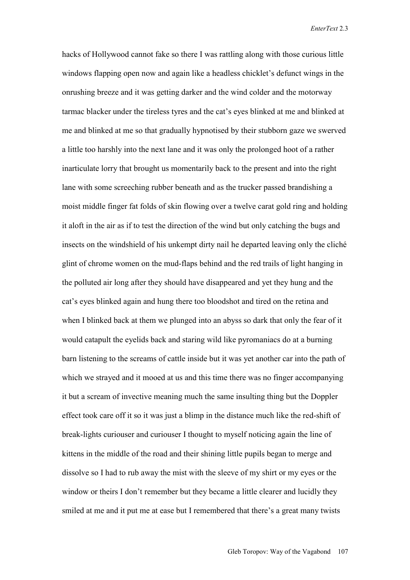hacks of Hollywood cannot fake so there I was rattling along with those curious little windows flapping open now and again like a headless chicklet's defunct wings in the onrushing breeze and it was getting darker and the wind colder and the motorway tarmac blacker under the tireless tyres and the cat's eyes blinked at me and blinked at me and blinked at me so that gradually hypnotised by their stubborn gaze we swerved a little too harshly into the next lane and it was only the prolonged hoot of a rather inarticulate lorry that brought us momentarily back to the present and into the right lane with some screeching rubber beneath and as the trucker passed brandishing a moist middle finger fat folds of skin flowing over a twelve carat gold ring and holding it aloft in the air as if to test the direction of the wind but only catching the bugs and insects on the windshield of his unkempt dirty nail he departed leaving only the cliché glint of chrome women on the mud-flaps behind and the red trails of light hanging in the polluted air long after they should have disappeared and yet they hung and the cat's eyes blinked again and hung there too bloodshot and tired on the retina and when I blinked back at them we plunged into an abyss so dark that only the fear of it would catapult the eyelids back and staring wild like pyromaniacs do at a burning barn listening to the screams of cattle inside but it was yet another car into the path of which we strayed and it mooed at us and this time there was no finger accompanying it but a scream of invective meaning much the same insulting thing but the Doppler effect took care off it so it was just a blimp in the distance much like the red-shift of break-lights curiouser and curiouser I thought to myself noticing again the line of kittens in the middle of the road and their shining little pupils began to merge and dissolve so I had to rub away the mist with the sleeve of my shirt or my eyes or the window or theirs I don't remember but they became a little clearer and lucidly they smiled at me and it put me at ease but I remembered that there's a great many twists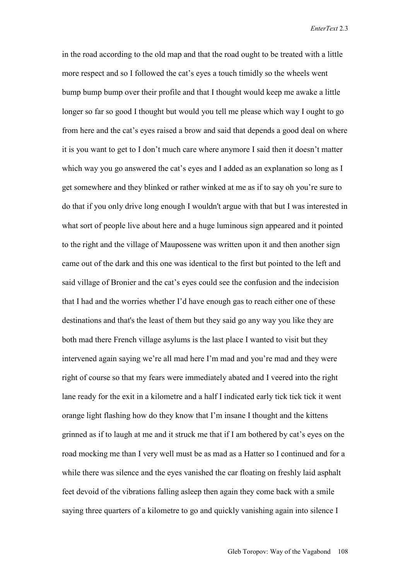in the road according to the old map and that the road ought to be treated with a little more respect and so I followed the cat's eyes a touch timidly so the wheels went bump bump bump over their profile and that I thought would keep me awake a little longer so far so good I thought but would you tell me please which way I ought to go from here and the cat's eyes raised a brow and said that depends a good deal on where it is you want to get to I don't much care where anymore I said then it doesn't matter which way you go answered the cat's eyes and I added as an explanation so long as I get somewhere and they blinked or rather winked at me as if to say oh you're sure to do that if you only drive long enough I wouldn't argue with that but I was interested in what sort of people live about here and a huge luminous sign appeared and it pointed to the right and the village of Maupossene was written upon it and then another sign came out of the dark and this one was identical to the first but pointed to the left and said village of Bronier and the cat's eyes could see the confusion and the indecision that I had and the worries whether I'd have enough gas to reach either one of these destinations and that's the least of them but they said go any way you like they are both mad there French village asylums is the last place I wanted to visit but they intervened again saying we're all mad here I'm mad and you're mad and they were right of course so that my fears were immediately abated and I veered into the right lane ready for the exit in a kilometre and a half I indicated early tick tick tick it went orange light flashing how do they know that I'm insane I thought and the kittens grinned as if to laugh at me and it struck me that if I am bothered by cat's eyes on the road mocking me than I very well must be as mad as a Hatter so I continued and for a while there was silence and the eyes vanished the car floating on freshly laid asphalt feet devoid of the vibrations falling asleep then again they come back with a smile saying three quarters of a kilometre to go and quickly vanishing again into silence I